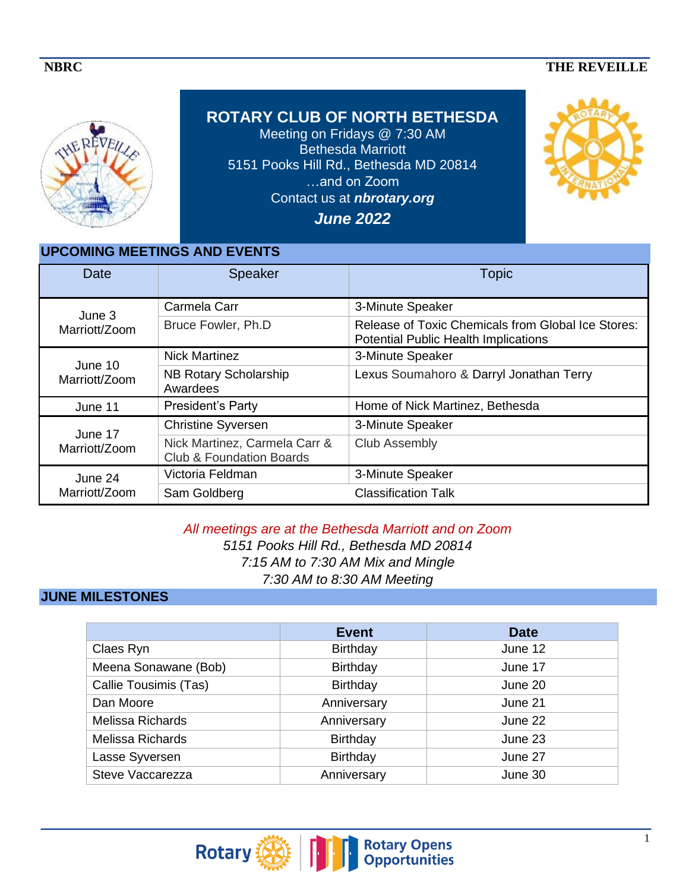### **NBRC** THE REVEILLE



**ROTARY CLUB OF NORTH BETHESDA** 

Meeting on Fridays @ 7:30 AM Bethesda Marriott 5151 Pooks Hill Rd., Bethesda MD 20814 …and on Zoom Contact us at *nbrotary.org June 2022*



## **UPCOMING MEETINGS AND EVENTS**

| Date                     | <b>Speaker</b>                                                       | <b>Topic</b>                                                                                      |
|--------------------------|----------------------------------------------------------------------|---------------------------------------------------------------------------------------------------|
| June 3<br>Marriott/Zoom  | Carmela Carr                                                         | 3-Minute Speaker                                                                                  |
|                          | Bruce Fowler, Ph.D                                                   | Release of Toxic Chemicals from Global Ice Stores:<br><b>Potential Public Health Implications</b> |
| June 10<br>Marriott/Zoom | <b>Nick Martinez</b>                                                 | 3-Minute Speaker                                                                                  |
|                          | <b>NB Rotary Scholarship</b><br>Awardees                             | Lexus Soumahoro & Darryl Jonathan Terry                                                           |
| June 11                  | President's Party                                                    | Home of Nick Martinez, Bethesda                                                                   |
| June 17<br>Marriott/Zoom | <b>Christine Syversen</b>                                            | 3-Minute Speaker                                                                                  |
|                          | Nick Martinez, Carmela Carr &<br><b>Club &amp; Foundation Boards</b> | <b>Club Assembly</b>                                                                              |
| June 24<br>Marriott/Zoom | Victoria Feldman                                                     | 3-Minute Speaker                                                                                  |
|                          | Sam Goldberg                                                         | <b>Classification Talk</b>                                                                        |

*All meetings are at the Bethesda Marriott and on Zoom 5151 Pooks Hill Rd., Bethesda MD 20814 7:15 AM to 7:30 AM Mix and Mingle 7:30 AM to 8:30 AM Meeting*

# **JUNE MILESTONES**

|                         | <b>Event</b> | <b>Date</b> |
|-------------------------|--------------|-------------|
| Claes Ryn               | Birthday     | June 12     |
| Meena Sonawane (Bob)    | Birthday     | June 17     |
| Callie Tousimis (Tas)   | Birthday     | June 20     |
| Dan Moore               | Anniversary  | June 21     |
| <b>Melissa Richards</b> | Anniversary  | June 22     |
| <b>Melissa Richards</b> | Birthday     | June 23     |
| Lasse Syversen          | Birthday     | June 27     |
| Steve Vaccarezza        | Anniversary  | June 30     |

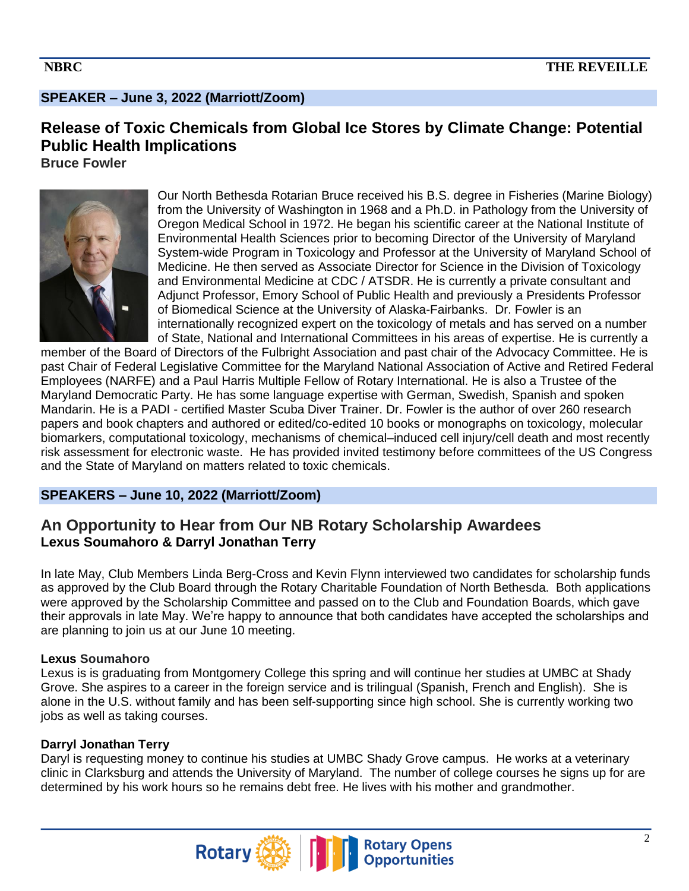# **SPEAKER – June 3, 2022 (Marriott/Zoom)**

# **Release of Toxic Chemicals from Global Ice Stores by Climate Change: Potential Public Health Implications**

**Bruce Fowler**



Our North Bethesda Rotarian Bruce received his B.S. degree in Fisheries (Marine Biology) from the University of Washington in 1968 and a Ph.D. in Pathology from the University of Oregon Medical School in 1972. He began his scientific career at the National Institute of Environmental Health Sciences prior to becoming Director of the University of Maryland System-wide Program in Toxicology and Professor at the University of Maryland School of Medicine. He then served as Associate Director for Science in the Division of Toxicology and Environmental Medicine at CDC / ATSDR. He is currently a private consultant and Adjunct Professor, Emory School of Public Health and previously a Presidents Professor of Biomedical Science at the University of Alaska-Fairbanks. Dr. Fowler is an internationally recognized expert on the toxicology of metals and has served on a number of State, National and International Committees in his areas of expertise. He is currently a

member of the Board of Directors of the Fulbright Association and past chair of the Advocacy Committee. He is past Chair of Federal Legislative Committee for the Maryland National Association of Active and Retired Federal Employees (NARFE) and a Paul Harris Multiple Fellow of Rotary International. He is also a Trustee of the Maryland Democratic Party. He has some language expertise with German, Swedish, Spanish and spoken Mandarin. He is a PADI - certified Master Scuba Diver Trainer. Dr. Fowler is the author of over 260 research papers and book chapters and authored or edited/co-edited 10 books or monographs on toxicology, molecular biomarkers, computational toxicology, mechanisms of chemical–induced cell injury/cell death and most recently risk assessment for electronic waste. He has provided invited testimony before committees of the US Congress and the State of Maryland on matters related to toxic chemicals.

### **SPEAKERS – June 10, 2022 (Marriott/Zoom)**

# **An Opportunity to Hear from Our NB Rotary Scholarship Awardees Lexus Soumahoro & Darryl Jonathan Terry**

In late May, Club Members Linda Berg-Cross and Kevin Flynn interviewed two candidates for scholarship funds as approved by the Club Board through the Rotary Charitable Foundation of North Bethesda. Both applications were approved by the Scholarship Committee and passed on to the Club and Foundation Boards, which gave their approvals in late May. We're happy to announce that both candidates have accepted the scholarships and are planning to join us at our June 10 meeting.

### **Lexus Soumahoro**

Lexus is is graduating from Montgomery College this spring and will continue her studies at UMBC at Shady Grove. She aspires to a career in the foreign service and is trilingual (Spanish, French and English). She is alone in the U.S. without family and has been self-supporting since high school. She is currently working two jobs as well as taking courses.

#### **Darryl Jonathan Terry**

Daryl is requesting money to continue his studies at UMBC Shady Grove campus. He works at a veterinary clinic in Clarksburg and attends the University of Maryland. The number of college courses he signs up for are determined by his work hours so he remains debt free. He lives with his mother and grandmother.

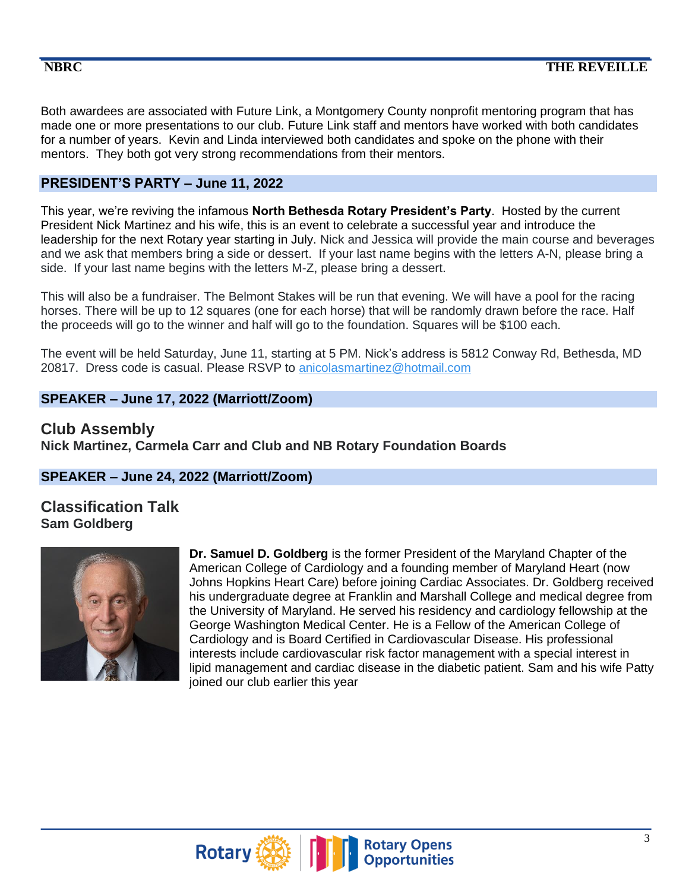Both awardees are associated with Future Link, a Montgomery County nonprofit mentoring program that has made one or more presentations to our club. Future Link staff and mentors have worked with both candidates for a number of years. Kevin and Linda interviewed both candidates and spoke on the phone with their mentors. They both got very strong recommendations from their mentors.

#### **PRESIDENT'S PARTY – June 11, 2022**

This year, we're reviving the infamous **North Bethesda Rotary President's Party**. Hosted by the current President Nick Martinez and his wife, this is an event to celebrate a successful year and introduce the leadership for the next Rotary year starting in July. Nick and Jessica will provide the main course and beverages and we ask that members bring a side or dessert. If your last name begins with the letters A-N, please bring a side. If your last name begins with the letters M-Z, please bring a dessert.

This will also be a fundraiser. The Belmont Stakes will be run that evening. We will have a pool for the racing horses. There will be up to 12 squares (one for each horse) that will be randomly drawn before the race. Half the proceeds will go to the winner and half will go to the foundation. Squares will be \$100 each.

The event will be held Saturday, June 11, starting at 5 PM. Nick's address is 5812 Conway Rd, Bethesda, MD 20817. Dress code is casual. Please RSVP to [anicolasmartinez@hotmail.com](mailto:anicolasmartinez@hotmail.com)

#### **SPEAKER – June 17, 2022 (Marriott/Zoom)**

**Club Assembly Nick Martinez, Carmela Carr and Club and NB Rotary Foundation Boards** 

### **SPEAKER – June 24, 2022 (Marriott/Zoom)**

**Classification Talk Sam Goldberg**



**Dr. Samuel D. Goldberg** is the former President of the Maryland Chapter of the American College of Cardiology and a founding member of Maryland Heart (now Johns Hopkins Heart Care) before joining Cardiac Associates. Dr. Goldberg received his undergraduate degree at Franklin and Marshall College and medical degree from the University of Maryland. He served his residency and cardiology fellowship at the George Washington Medical Center. He is a Fellow of the American College of Cardiology and is Board Certified in Cardiovascular Disease. His professional interests include cardiovascular risk factor management with a special interest in lipid management and cardiac disease in the diabetic patient. Sam and his wife Patty joined our club earlier this year

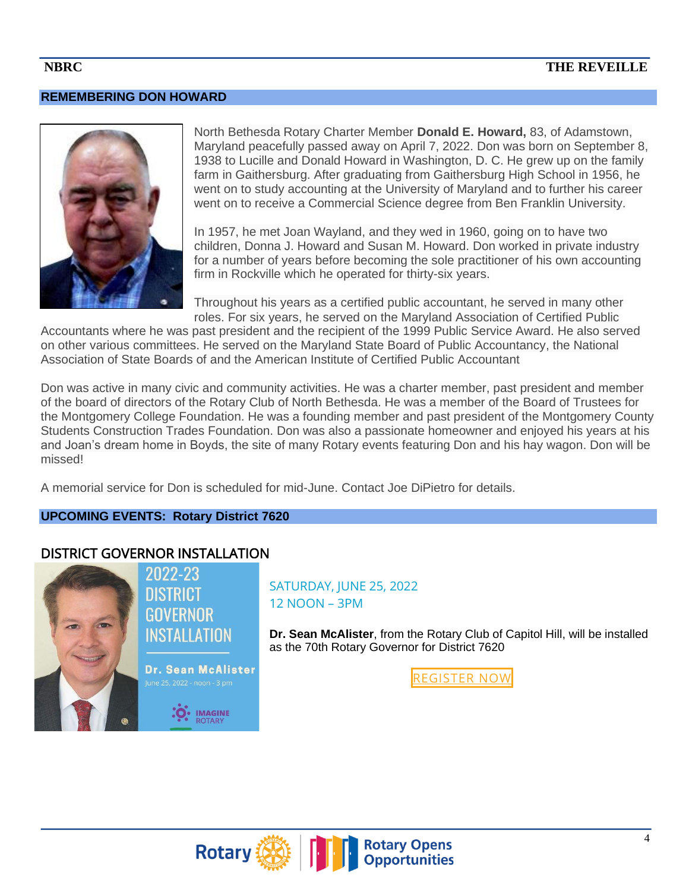### **NBRC** THE REVEILLE

#### **REMEMBERING DON HOWARD**



North Bethesda Rotary Charter Member **Donald E. Howard,** 83, of Adamstown, Maryland peacefully passed away on April 7, 2022. Don was born on September 8, 1938 to Lucille and Donald Howard in Washington, D. C. He grew up on the family farm in Gaithersburg. After graduating from Gaithersburg High School in 1956, he went on to study accounting at the University of Maryland and to further his career went on to receive a Commercial Science degree from Ben Franklin University.

In 1957, he met Joan Wayland, and they wed in 1960, going on to have two children, Donna J. Howard and Susan M. Howard. Don worked in private industry for a number of years before becoming the sole practitioner of his own accounting firm in Rockville which he operated for thirty-six years.

Throughout his years as a certified public accountant, he served in many other roles. For six years, he served on the Maryland Association of Certified Public

Accountants where he was past president and the recipient of the 1999 Public Service Award. He also served on other various committees. He served on the Maryland State Board of Public Accountancy, the National Association of State Boards of and the American Institute of Certified Public Accountant

Don was active in many civic and community activities. He was a charter member, past president and member of the board of directors of the Rotary Club of North Bethesda. He was a member of the Board of Trustees for the Montgomery College Foundation. He was a founding member and past president of the Montgomery County Students Construction Trades Foundation. Don was also a passionate homeowner and enjoyed his years at his and Joan's dream home in Boyds, the site of many Rotary events featuring Don and his hay wagon. Don will be missed!

A memorial service for Don is scheduled for mid-June. Contact Joe DiPietro for details.

#### **UPCOMING EVENTS: Rotary District 7620**

### DISTRICT GOVERNOR INSTALLATION



2022-23 DISTRICT GOVFRNOR INSTALLATION

Dr. Sean McAlister

**IMAGINE** 

SATURDAY, JUNE 25, 2022 12 NOON – 3PM

**Dr. Sean McAlister**, from the Rotary Club of Capitol Hill, will be installed as the 70th Rotary Governor for District 7620

[REGISTER](https://registrations.dacdb.com/Register/index.cfm?EventID=77589299&NoCaptcha) NOW